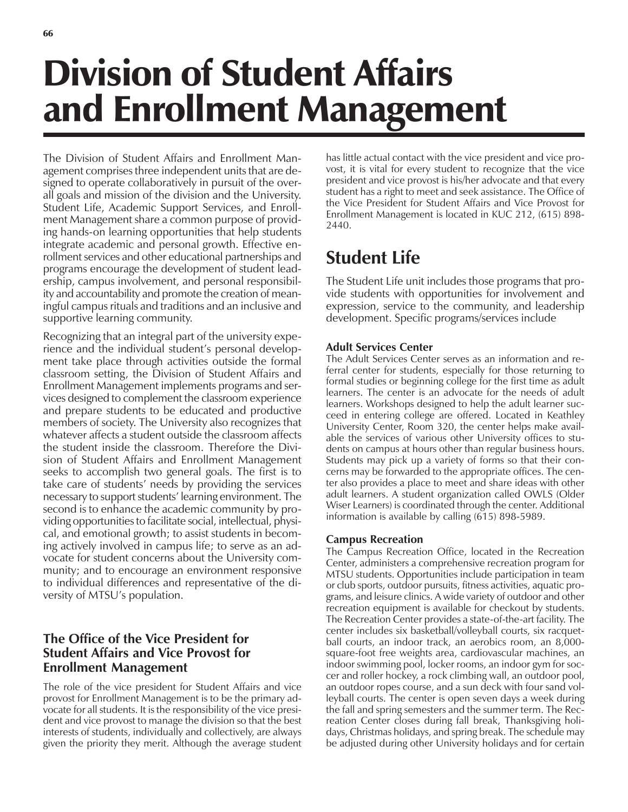# Division of Student Affairs and Enrollment Management

The Division of Student Affairs and Enrollment Management comprises three independent units that are designed to operate collaboratively in pursuit of the overall goals and mission of the division and the University. Student Life, Academic Support Services, and Enrollment Management share a common purpose of providing hands-on learning opportunities that help students integrate academic and personal growth. Effective enrollment services and other educational partnerships and programs encourage the development of student leadership, campus involvement, and personal responsibility and accountability and promote the creation of meaningful campus rituals and traditions and an inclusive and supportive learning community.

Recognizing that an integral part of the university experience and the individual student's personal development take place through activities outside the formal classroom setting, the Division of Student Affairs and Enrollment Management implements programs and services designed to complement the classroom experience and prepare students to be educated and productive members of society. The University also recognizes that whatever affects a student outside the classroom affects the student inside the classroom. Therefore the Division of Student Affairs and Enrollment Management seeks to accomplish two general goals. The first is to take care of students' needs by providing the services necessary to support students' learning environment. The second is to enhance the academic community by providing opportunities to facilitate social, intellectual, physical, and emotional growth; to assist students in becoming actively involved in campus life; to serve as an advocate for student concerns about the University community; and to encourage an environment responsive to individual differences and representative of the diversity of MTSU's population.

### **The Office of the Vice President for Student Affairs and Vice Provost for Enrollment Management**

The role of the vice president for Student Affairs and vice provost for Enrollment Management is to be the primary advocate for all students. It is the responsibility of the vice president and vice provost to manage the division so that the best interests of students, individually and collectively, are always given the priority they merit. Although the average student has little actual contact with the vice president and vice provost, it is vital for every student to recognize that the vice president and vice provost is his/her advocate and that every student has a right to meet and seek assistance. The Office of the Vice President for Student Affairs and Vice Provost for Enrollment Management is located in KUC 212, (615) 898- 2440.

## **Student Life**

The Student Life unit includes those programs that provide students with opportunities for involvement and expression, service to the community, and leadership development. Specific programs/services include

#### **Adult Services Center**

The Adult Services Center serves as an information and referral center for students, especially for those returning to formal studies or beginning college for the first time as adult learners. The center is an advocate for the needs of adult learners. Workshops designed to help the adult learner succeed in entering college are offered. Located in Keathley University Center, Room 320, the center helps make available the services of various other University offices to students on campus at hours other than regular business hours. Students may pick up a variety of forms so that their concerns may be forwarded to the appropriate offices. The center also provides a place to meet and share ideas with other adult learners. A student organization called OWLS (Older Wiser Learners) is coordinated through the center. Additional information is available by calling (615) 898-5989.

#### **Campus Recreation**

The Campus Recreation Office, located in the Recreation Center, administers a comprehensive recreation program for MTSU students. Opportunities include participation in team or club sports, outdoor pursuits, fitness activities, aquatic programs, and leisure clinics. A wide variety of outdoor and other recreation equipment is available for checkout by students. The Recreation Center provides a state-of-the-art facility. The center includes six basketball/volleyball courts, six racquetball courts, an indoor track, an aerobics room, an 8,000 square-foot free weights area, cardiovascular machines, an indoor swimming pool, locker rooms, an indoor gym for soccer and roller hockey, a rock climbing wall, an outdoor pool, an outdoor ropes course, and a sun deck with four sand volleyball courts. The center is open seven days a week during the fall and spring semesters and the summer term. The Recreation Center closes during fall break, Thanksgiving holidays, Christmas holidays, and spring break. The schedule may be adjusted during other University holidays and for certain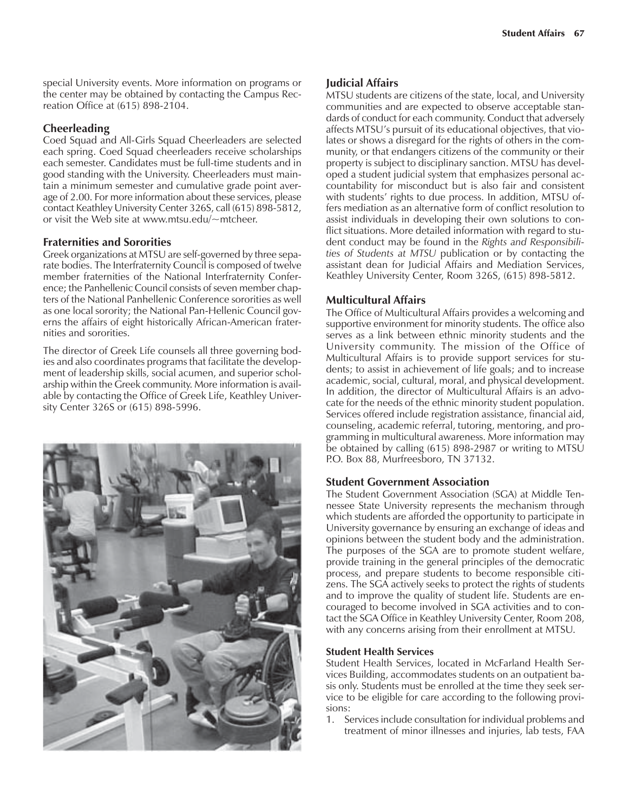special University events. More information on programs or the center may be obtained by contacting the Campus Recreation Office at (615) 898-2104.

#### **Cheerleading**

Coed Squad and All-Girls Squad Cheerleaders are selected each spring. Coed Squad cheerleaders receive scholarships each semester. Candidates must be full-time students and in good standing with the University. Cheerleaders must maintain a minimum semester and cumulative grade point average of 2.00. For more information about these services, please contact Keathley University Center 326S, call (615) 898-5812, or visit the Web site at www.mtsu.edu/~mtcheer.

#### **Fraternities and Sororities**

Greek organizations at MTSU are self-governed by three separate bodies. The Interfraternity Council is composed of twelve member fraternities of the National Interfraternity Conference; the Panhellenic Council consists of seven member chapters of the National Panhellenic Conference sororities as well as one local sorority; the National Pan-Hellenic Council governs the affairs of eight historically African-American fraternities and sororities.

The director of Greek Life counsels all three governing bodies and also coordinates programs that facilitate the development of leadership skills, social acumen, and superior scholarship within the Greek community. More information is available by contacting the Office of Greek Life, Keathley University Center 326S or (615) 898-5996.



#### **Judicial Affairs**

MTSU students are citizens of the state, local, and University communities and are expected to observe acceptable standards of conduct for each community. Conduct that adversely affects MTSU's pursuit of its educational objectives, that violates or shows a disregard for the rights of others in the community, or that endangers citizens of the community or their property is subject to disciplinary sanction. MTSU has developed a student judicial system that emphasizes personal accountability for misconduct but is also fair and consistent with students' rights to due process. In addition, MTSU offers mediation as an alternative form of conflict resolution to assist individuals in developing their own solutions to conflict situations. More detailed information with regard to student conduct may be found in the *Rights and Responsibilities of Students at MTSU* publication or by contacting the assistant dean for Judicial Affairs and Mediation Services, Keathley University Center, Room 326S, (615) 898-5812.

#### **Multicultural Affairs**

The Office of Multicultural Affairs provides a welcoming and supportive environment for minority students. The office also serves as a link between ethnic minority students and the University community. The mission of the Office of Multicultural Affairs is to provide support services for students; to assist in achievement of life goals; and to increase academic, social, cultural, moral, and physical development. In addition, the director of Multicultural Affairs is an advocate for the needs of the ethnic minority student population. Services offered include registration assistance, financial aid, counseling, academic referral, tutoring, mentoring, and programming in multicultural awareness. More information may be obtained by calling (615) 898-2987 or writing to MTSU P.O. Box 88, Murfreesboro, TN 37132.

#### **Student Government Association**

The Student Government Association (SGA) at Middle Tennessee State University represents the mechanism through which students are afforded the opportunity to participate in University governance by ensuring an exchange of ideas and opinions between the student body and the administration. The purposes of the SGA are to promote student welfare, provide training in the general principles of the democratic process, and prepare students to become responsible citizens. The SGA actively seeks to protect the rights of students and to improve the quality of student life. Students are encouraged to become involved in SGA activities and to contact the SGA Office in Keathley University Center, Room 208, with any concerns arising from their enrollment at MTSU.

#### **Student Health Services**

Student Health Services, located in McFarland Health Services Building, accommodates students on an outpatient basis only. Students must be enrolled at the time they seek service to be eligible for care according to the following provisions:

1. Services include consultation for individual problems and treatment of minor illnesses and injuries, lab tests, FAA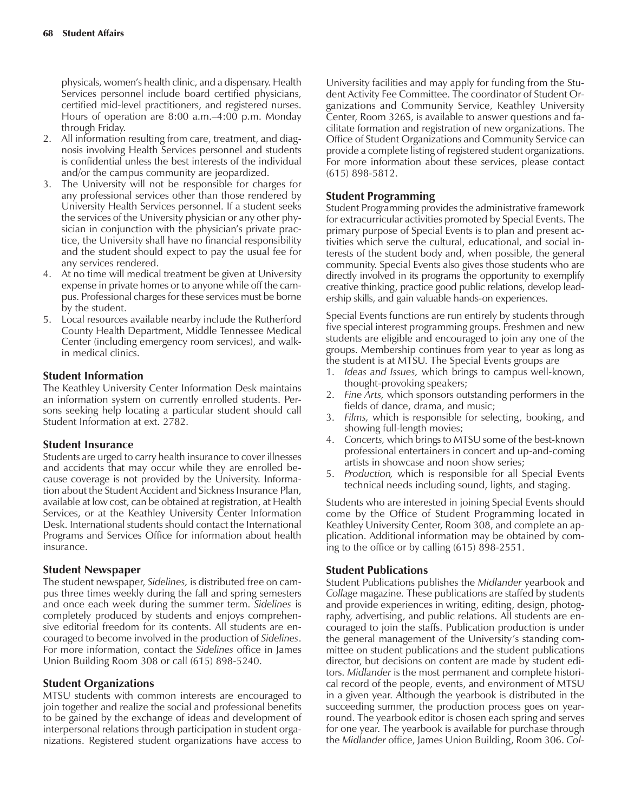physicals, women's health clinic, and a dispensary. Health Services personnel include board certified physicians, certified mid-level practitioners, and registered nurses. Hours of operation are  $8:00$  a.m. $-4:00$  p.m. Monday through Friday.

- 2. All information resulting from care, treatment, and diagnosis involving Health Services personnel and students is confidential unless the best interests of the individual and/or the campus community are jeopardized.
- 3. The University will not be responsible for charges for any professional services other than those rendered by University Health Services personnel. If a student seeks the services of the University physician or any other physician in conjunction with the physician's private practice, the University shall have no financial responsibility and the student should expect to pay the usual fee for any services rendered.
- 4. At no time will medical treatment be given at University expense in private homes or to anyone while off the campus. Professional charges for these services must be borne by the student.
- 5. Local resources available nearby include the Rutherford County Health Department, Middle Tennessee Medical Center (including emergency room services), and walkin medical clinics.

#### **Student Information**

The Keathley University Center Information Desk maintains an information system on currently enrolled students. Persons seeking help locating a particular student should call Student Information at ext. 2782.

#### **Student Insurance**

Students are urged to carry health insurance to cover illnesses and accidents that may occur while they are enrolled because coverage is not provided by the University. Information about the Student Accident and Sickness Insurance Plan, available at low cost, can be obtained at registration, at Health Services, or at the Keathley University Center Information Desk. International students should contact the International Programs and Services Office for information about health insurance.

#### **Student Newspaper**

The student newspaper, *Sidelines,* is distributed free on campus three times weekly during the fall and spring semesters and once each week during the summer term. *Sidelines* is completely produced by students and enjoys comprehensive editorial freedom for its contents. All students are encouraged to become involved in the production of *Sidelines*. For more information, contact the *Sidelines* office in James Union Building Room 308 or call (615) 898-5240.

#### **Student Organizations**

MTSU students with common interests are encouraged to join together and realize the social and professional benefits to be gained by the exchange of ideas and development of interpersonal relations through participation in student organizations. Registered student organizations have access to

University facilities and may apply for funding from the Student Activity Fee Committee. The coordinator of Student Organizations and Community Service, Keathley University Center, Room 326S, is available to answer questions and facilitate formation and registration of new organizations. The Office of Student Organizations and Community Service can provide a complete listing of registered student organizations. For more information about these services, please contact (615) 898-5812.

#### **Student Programming**

Student Programming provides the administrative framework for extracurricular activities promoted by Special Events. The primary purpose of Special Events is to plan and present activities which serve the cultural, educational, and social interests of the student body and, when possible, the general community. Special Events also gives those students who are directly involved in its programs the opportunity to exemplify creative thinking, practice good public relations, develop leadership skills, and gain valuable hands-on experiences.

Special Events functions are run entirely by students through five special interest programming groups. Freshmen and new students are eligible and encouraged to join any one of the groups. Membership continues from year to year as long as the student is at MTSU. The Special Events groups are

- 1. *Ideas and Issues,* which brings to campus well-known, thought-provoking speakers;
- 2. *Fine Arts,* which sponsors outstanding performers in the fields of dance, drama, and music;
- 3. *Films,* which is responsible for selecting, booking, and showing full-length movies;
- 4. *Concerts,* which brings to MTSU some of the best-known professional entertainers in concert and up-and-coming artists in showcase and noon show series;
- 5. *Production,* which is responsible for all Special Events technical needs including sound, lights, and staging.

Students who are interested in joining Special Events should come by the Office of Student Programming located in Keathley University Center, Room 308, and complete an application. Additional information may be obtained by coming to the office or by calling (615) 898-2551.

#### **Student Publications**

Student Publications publishes the *Midlander* yearbook and *Collage* magazine*.* These publications are staffed by students and provide experiences in writing, editing, design, photography, advertising, and public relations. All students are encouraged to join the staffs. Publication production is under the general management of the University's standing committee on student publications and the student publications director, but decisions on content are made by student editors. *Midlander* is the most permanent and complete historical record of the people, events, and environment of MTSU in a given year. Although the yearbook is distributed in the succeeding summer, the production process goes on yearround. The yearbook editor is chosen each spring and serves for one year. The yearbook is available for purchase through the *Midlander* office, James Union Building, Room 306. *Col-*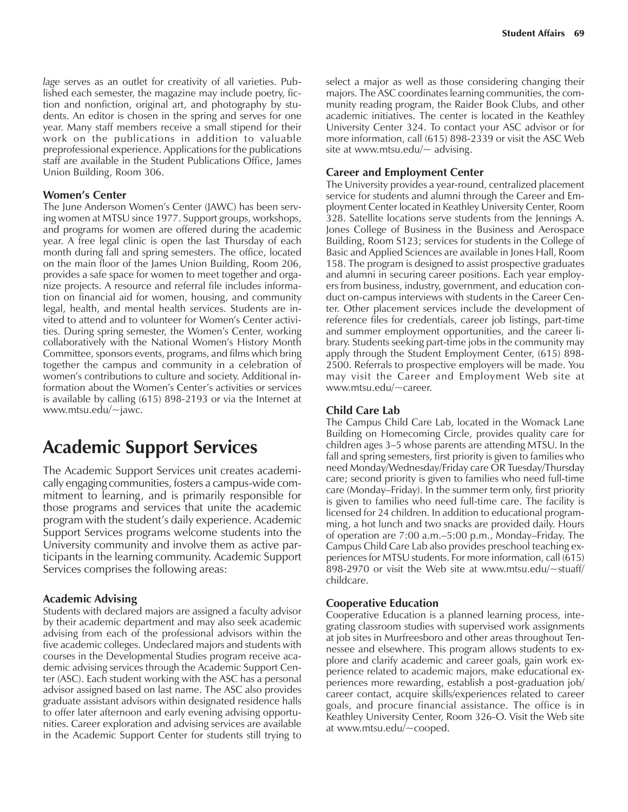*lage* serves as an outlet for creativity of all varieties. Published each semester, the magazine may include poetry, fiction and nonfiction, original art, and photography by students. An editor is chosen in the spring and serves for one year. Many staff members receive a small stipend for their work on the publications in addition to valuable preprofessional experience. Applications for the publications staff are available in the Student Publications Office, James Union Building, Room 306.

#### **Womenís Center**

The June Anderson Women's Center (JAWC) has been serving women at MTSU since 1977. Support groups, workshops, and programs for women are offered during the academic year. A free legal clinic is open the last Thursday of each month during fall and spring semesters. The office, located on the main floor of the James Union Building, Room 206, provides a safe space for women to meet together and organize projects. A resource and referral file includes information on financial aid for women, housing, and community legal, health, and mental health services. Students are invited to attend and to volunteer for Women's Center activities. During spring semester, the Women's Center, working collaboratively with the National Women's History Month Committee, sponsors events, programs, and films which bring together the campus and community in a celebration of women's contributions to culture and society. Additional information about the Women's Center's activities or services is available by calling (615) 898-2193 or via the Internet at www.mtsu.edu/~jawc.

## **Academic Support Services**

The Academic Support Services unit creates academically engaging communities, fosters a campus-wide commitment to learning, and is primarily responsible for those programs and services that unite the academic program with the student's daily experience. Academic Support Services programs welcome students into the University community and involve them as active participants in the learning community. Academic Support Services comprises the following areas:

#### **Academic Advising**

Students with declared majors are assigned a faculty advisor by their academic department and may also seek academic advising from each of the professional advisors within the five academic colleges. Undeclared majors and students with courses in the Developmental Studies program receive academic advising services through the Academic Support Center (ASC). Each student working with the ASC has a personal advisor assigned based on last name. The ASC also provides graduate assistant advisors within designated residence halls to offer later afternoon and early evening advising opportunities. Career exploration and advising services are available in the Academic Support Center for students still trying to select a major as well as those considering changing their majors. The ASC coordinates learning communities, the community reading program, the Raider Book Clubs, and other academic initiatives. The center is located in the Keathley University Center 324. To contact your ASC advisor or for more information, call (615) 898-2339 or visit the ASC Web site at www.mtsu.edu/ $\sim$  advising.

#### **Career and Employment Center**

The University provides a year-round, centralized placement service for students and alumni through the Career and Employment Center located in Keathley University Center, Room 328. Satellite locations serve students from the Jennings A. Jones College of Business in the Business and Aerospace Building, Room S123; services for students in the College of Basic and Applied Sciences are available in Jones Hall, Room 158. The program is designed to assist prospective graduates and alumni in securing career positions. Each year employers from business, industry, government, and education conduct on-campus interviews with students in the Career Center. Other placement services include the development of reference files for credentials, career job listings, part-time and summer employment opportunities, and the career library. Students seeking part-time jobs in the community may apply through the Student Employment Center, (615) 898- 2500. Referrals to prospective employers will be made. You may visit the Career and Employment Web site at www.mtsu.edu/~career.

#### **Child Care Lab**

The Campus Child Care Lab, located in the Womack Lane Building on Homecoming Circle, provides quality care for children ages 3-5 whose parents are attending MTSU. In the fall and spring semesters, first priority is given to families who need Monday/Wednesday/Friday care OR Tuesday/Thursday care; second priority is given to families who need full-time care (Monday-Friday). In the summer term only, first priority is given to families who need full-time care. The facility is licensed for 24 children. In addition to educational programming, a hot lunch and two snacks are provided daily. Hours of operation are 7:00 a.m.–5:00 p.m., Monday–Friday. The Campus Child Care Lab also provides preschool teaching experiences for MTSU students. For more information, call (615) 898-2970 or visit the Web site at www.mtsu.edu/~stuaff/ childcare.

#### **Cooperative Education**

Cooperative Education is a planned learning process, integrating classroom studies with supervised work assignments at job sites in Murfreesboro and other areas throughout Tennessee and elsewhere. This program allows students to explore and clarify academic and career goals, gain work experience related to academic majors, make educational experiences more rewarding, establish a post-graduation job/ career contact, acquire skills/experiences related to career goals, and procure financial assistance. The office is in Keathley University Center, Room 326-O. Visit the Web site at www.mtsu.edu/~cooped.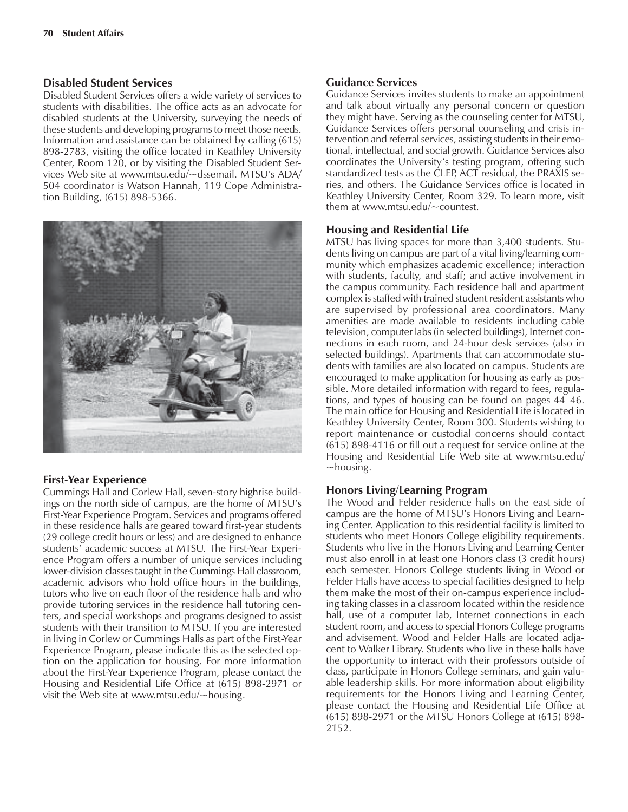#### **Disabled Student Services**

Disabled Student Services offers a wide variety of services to students with disabilities. The office acts as an advocate for disabled students at the University, surveying the needs of these students and developing programs to meet those needs. Information and assistance can be obtained by calling (615) 898-2783, visiting the office located in Keathley University Center, Room 120, or by visiting the Disabled Student Services Web site at www.mtsu.edu/~dssemail. MTSU's ADA/ 504 coordinator is Watson Hannah, 119 Cope Administration Building, (615) 898-5366.



#### **First-Year Experience**

Cummings Hall and Corlew Hall, seven-story highrise buildings on the north side of campus, are the home of MTSU's First-Year Experience Program. Services and programs offered in these residence halls are geared toward first-year students (29 college credit hours or less) and are designed to enhance students' academic success at MTSU. The First-Year Experience Program offers a number of unique services including lower-division classes taught in the Cummings Hall classroom, academic advisors who hold office hours in the buildings, tutors who live on each floor of the residence halls and who provide tutoring services in the residence hall tutoring centers, and special workshops and programs designed to assist students with their transition to MTSU. If you are interested in living in Corlew or Cummings Halls as part of the First-Year Experience Program, please indicate this as the selected option on the application for housing. For more information about the First-Year Experience Program, please contact the Housing and Residential Life Office at (615) 898-2971 or visit the Web site at www.mtsu.edu/ $\sim$ housing.

#### **Guidance Services**

Guidance Services invites students to make an appointment and talk about virtually any personal concern or question they might have. Serving as the counseling center for MTSU, Guidance Services offers personal counseling and crisis intervention and referral services, assisting students in their emotional, intellectual, and social growth. Guidance Services also coordinates the University's testing program, offering such standardized tests as the CLEP, ACT residual, the PRAXIS series, and others. The Guidance Services office is located in Keathley University Center, Room 329. To learn more, visit them at www.mtsu.edu/~countest.

#### **Housing and Residential Life**

MTSU has living spaces for more than 3,400 students. Students living on campus are part of a vital living/learning community which emphasizes academic excellence; interaction with students, faculty, and staff; and active involvement in the campus community. Each residence hall and apartment complex is staffed with trained student resident assistants who are supervised by professional area coordinators. Many amenities are made available to residents including cable television, computer labs (in selected buildings), Internet connections in each room, and 24-hour desk services (also in selected buildings). Apartments that can accommodate students with families are also located on campus. Students are encouraged to make application for housing as early as possible. More detailed information with regard to fees, regulations, and types of housing can be found on pages 44–46. The main office for Housing and Residential Life is located in Keathley University Center, Room 300. Students wishing to report maintenance or custodial concerns should contact (615) 898-4116 or fill out a request for service online at the Housing and Residential Life Web site at www.mtsu.edu/  $\sim$ housing.

#### **Honors Living/Learning Program**

The Wood and Felder residence halls on the east side of campus are the home of MTSU's Honors Living and Learning Center. Application to this residential facility is limited to students who meet Honors College eligibility requirements. Students who live in the Honors Living and Learning Center must also enroll in at least one Honors class (3 credit hours) each semester. Honors College students living in Wood or Felder Halls have access to special facilities designed to help them make the most of their on-campus experience including taking classes in a classroom located within the residence hall, use of a computer lab, Internet connections in each student room, and access to special Honors College programs and advisement. Wood and Felder Halls are located adjacent to Walker Library. Students who live in these halls have the opportunity to interact with their professors outside of class, participate in Honors College seminars, and gain valuable leadership skills. For more information about eligibility requirements for the Honors Living and Learning Center, please contact the Housing and Residential Life Office at (615) 898-2971 or the MTSU Honors College at (615) 898- 2152.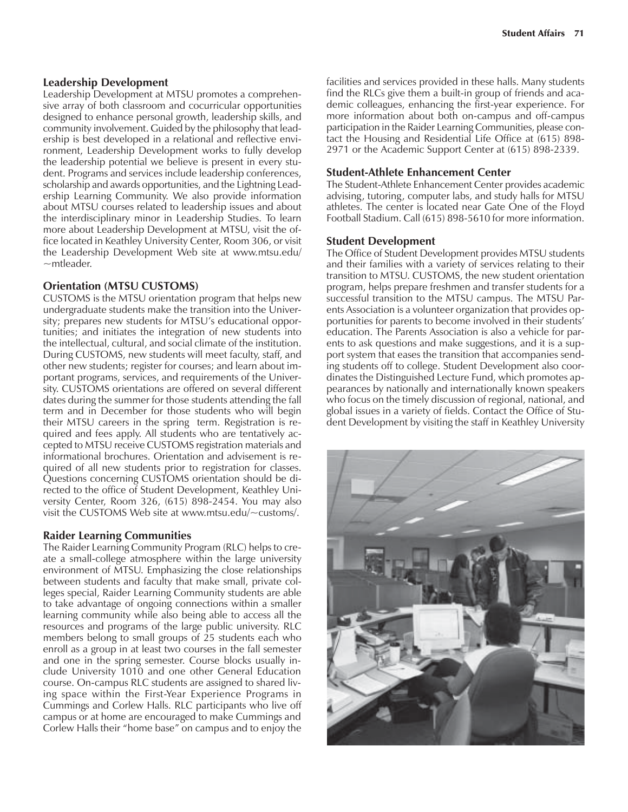#### **Leadership Development**

Leadership Development at MTSU promotes a comprehensive array of both classroom and cocurricular opportunities designed to enhance personal growth, leadership skills, and community involvement. Guided by the philosophy that leadership is best developed in a relational and reflective environment, Leadership Development works to fully develop the leadership potential we believe is present in every student. Programs and services include leadership conferences, scholarship and awards opportunities, and the Lightning Leadership Learning Community. We also provide information about MTSU courses related to leadership issues and about the interdisciplinary minor in Leadership Studies. To learn more about Leadership Development at MTSU, visit the office located in Keathley University Center, Room 306, or visit the Leadership Development Web site at www.mtsu.edu/  $~\sim$ mtleader.

#### **Orientation (MTSU CUSTOMS)**

CUSTOMS is the MTSU orientation program that helps new undergraduate students make the transition into the University; prepares new students for MTSU's educational opportunities; and initiates the integration of new students into the intellectual, cultural, and social climate of the institution. During CUSTOMS, new students will meet faculty, staff, and other new students; register for courses; and learn about important programs, services, and requirements of the University. CUSTOMS orientations are offered on several different dates during the summer for those students attending the fall term and in December for those students who will begin their MTSU careers in the spring term. Registration is required and fees apply. All students who are tentatively accepted to MTSU receive CUSTOMS registration materials and informational brochures. Orientation and advisement is required of all new students prior to registration for classes. Questions concerning CUSTOMS orientation should be directed to the office of Student Development, Keathley University Center, Room 326, (615) 898-2454. You may also visit the CUSTOMS Web site at www.mtsu.edu/~customs/.

#### **Raider Learning Communities**

The Raider Learning Community Program (RLC) helps to create a small-college atmosphere within the large university environment of MTSU. Emphasizing the close relationships between students and faculty that make small, private colleges special, Raider Learning Community students are able to take advantage of ongoing connections within a smaller learning community while also being able to access all the resources and programs of the large public university. RLC members belong to small groups of 25 students each who enroll as a group in at least two courses in the fall semester and one in the spring semester. Course blocks usually include University 1010 and one other General Education course. On-campus RLC students are assigned to shared living space within the First-Year Experience Programs in Cummings and Corlew Halls. RLC participants who live off campus or at home are encouraged to make Cummings and Corlew Halls their "home base" on campus and to enjoy the

facilities and services provided in these halls. Many students find the RLCs give them a built-in group of friends and academic colleagues, enhancing the first-year experience. For more information about both on-campus and off-campus participation in the Raider Learning Communities, please contact the Housing and Residential Life Office at (615) 898- 2971 or the Academic Support Center at (615) 898-2339.

#### **Student-Athlete Enhancement Center**

The Student-Athlete Enhancement Center provides academic advising, tutoring, computer labs, and study halls for MTSU athletes. The center is located near Gate One of the Floyd Football Stadium. Call (615) 898-5610 for more information.

#### **Student Development**

The Office of Student Development provides MTSU students and their families with a variety of services relating to their transition to MTSU. CUSTOMS, the new student orientation program, helps prepare freshmen and transfer students for a successful transition to the MTSU campus. The MTSU Parents Association is a volunteer organization that provides opportunities for parents to become involved in their students' education. The Parents Association is also a vehicle for parents to ask questions and make suggestions, and it is a support system that eases the transition that accompanies sending students off to college. Student Development also coordinates the Distinguished Lecture Fund, which promotes appearances by nationally and internationally known speakers who focus on the timely discussion of regional, national, and global issues in a variety of fields. Contact the Office of Student Development by visiting the staff in Keathley University